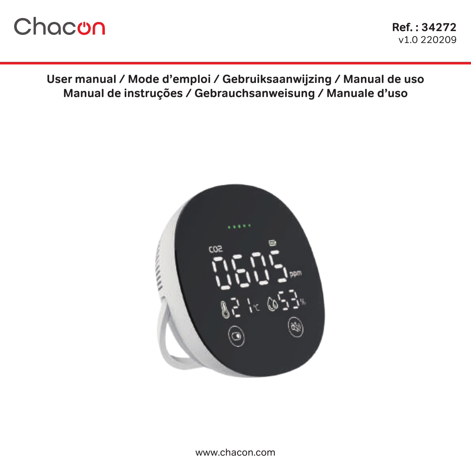# Chacon

**User manual / Mode d'emploi / Gebruiksaanwijzing / Manual de uso Manual de instruções / Gebrauchsanweisung / Manuale d'uso**

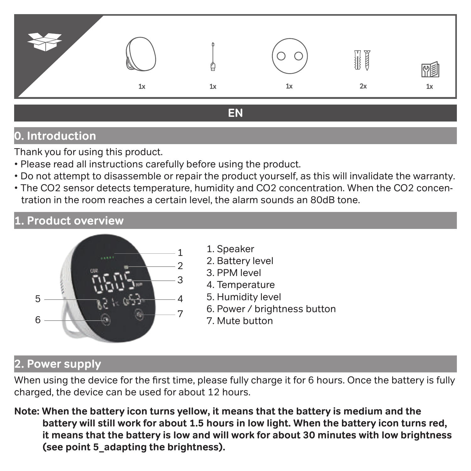

# **EN**

# **0. Introduction**

Thank you for using this product.

- Please read all instructions carefully before using the product.
- Do not attempt to disassemble or repair the product yourself, as this will invalidate the warranty.
- The CO2 sensor detects temperature, humidity and CO2 concentration. When the CO2 concentration in the room reaches a certain level, the alarm sounds an 80dB tone.

# **1. Product overview**



- 1. Speaker
- 2. Battery level
- 3. PPM level
- 4. Temperature
- 5. Humidity level
- 6. Power / brightness button
- 7. Mute button

### **2. Power supply**

When using the device for the first time, please fully charge it for 6 hours. Once the battery is fully charged, the device can be used for about 12 hours.

**Note: When the battery icon turns yellow, it means that the battery is medium and the battery will still work for about 1.5 hours in low light. When the battery icon turns red, it means that the battery is low and will work for about 30 minutes with low brightness (see point 5\_adapting the brightness).**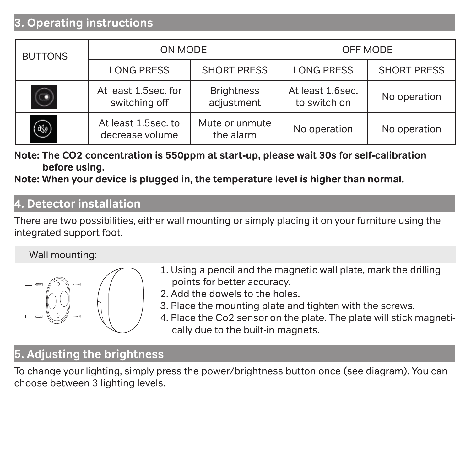# **3. Operating instructions**

| <b>BUTTONS</b> | ON MODE                                | OFF MODE                        |                                  |                    |
|----------------|----------------------------------------|---------------------------------|----------------------------------|--------------------|
|                | <b>LONG PRESS</b>                      | <b>SHORT PRESS</b>              | <b>LONG PRESS</b>                | <b>SHORT PRESS</b> |
|                | At least 1.5sec. for<br>switching off  | <b>Brightness</b><br>adjustment | At least 1.6sec.<br>to switch on | No operation       |
| $\circledast$  | At least 1.5sec. to<br>decrease volume | Mute or unmute<br>the alarm     | No operation                     | No operation       |

**Note: The CO2 concentration is 550ppm at start-up, please wait 30s for self-calibration before using.** 

**Note: When your device is plugged in, the temperature level is higher than normal.** 

#### **4. Detector installation**

There are two possibilities, either wall mounting or simply placing it on your furniture using the integrated support foot.

#### Wall mounting:



- 1. Using a pencil and the magnetic wall plate, mark the drilling points for better accuracy.
- 2. Add the dowels to the holes.
- 3. Place the mounting plate and tighten with the screws.
- 4. Place the Co2 sensor on the plate. The plate will stick magnetically due to the built-in magnets.

# **5. Adjusting the brightness**

To change your lighting, simply press the power/brightness button once (see diagram). You can choose between 3 lighting levels.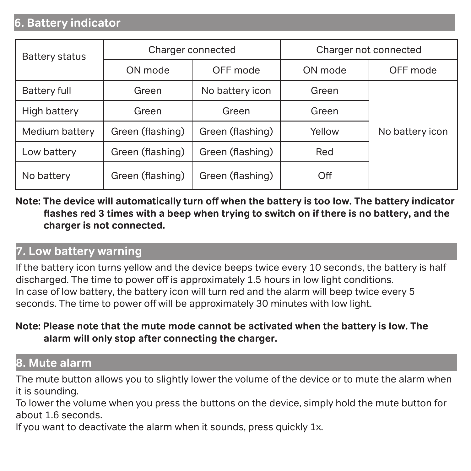### **6. Battery indicator**

| <b>Battery status</b> | Charger connected | Charger not connected |         |                 |  |
|-----------------------|-------------------|-----------------------|---------|-----------------|--|
|                       | ON mode           | OFF mode              | ON mode | OFF mode        |  |
| Battery full          | Green             | No battery icon       | Green   |                 |  |
| High battery          | Green             | Green                 | Green   |                 |  |
| Medium battery        | Green (flashing)  | Green (flashing)      | Yellow  | No battery icon |  |
| Low battery           | Green (flashing)  | Green (flashing)      | Red     |                 |  |
| No battery            | Green (flashing)  | Green (flashing)      | Off     |                 |  |

**Note: The device will automatically turn off when the battery is too low. The battery indicator flashes red 3 times with a beep when trying to switch on if there is no battery, and the charger is not connected.**

#### **7. Low battery warning**

If the battery icon turns yellow and the device beeps twice every 10 seconds, the battery is half discharged. The time to power off is approximately 1.5 hours in low light conditions. In case of low battery, the battery icon will turn red and the alarm will beep twice every 5 seconds. The time to power off will be approximately 30 minutes with low light.

#### **Note: Please note that the mute mode cannot be activated when the battery is low. The alarm will only stop after connecting the charger.**

#### **8. Mute alarm**

The mute button allows you to slightly lower the volume of the device or to mute the alarm when it is sounding.

To lower the volume when you press the buttons on the device, simply hold the mute button for about 1.6 seconds.

If you want to deactivate the alarm when it sounds, press quickly 1x.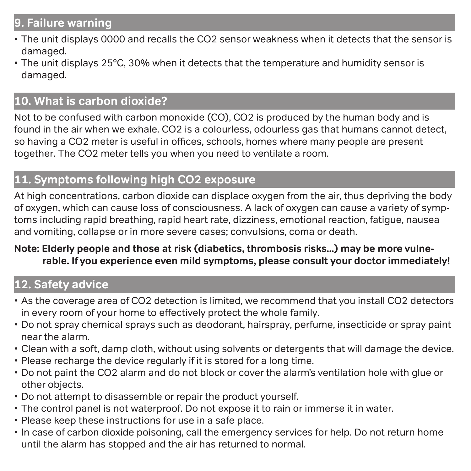# **9. Failure warning**

- The unit displays 0000 and recalls the CO2 sensor weakness when it detects that the sensor is damaged.
- The unit displays 25°C, 30% when it detects that the temperature and humidity sensor is damaged.

# **10. What is carbon dioxide?**

Not to be confused with carbon monoxide (CO), CO2 is produced by the human body and is found in the air when we exhale. CO2 is a colourless, odourless gas that humans cannot detect, so having a CO2 meter is useful in offices, schools, homes where many people are present together. The CO2 meter tells you when you need to ventilate a room.

### **11. Symptoms following high CO2 exposure**

At high concentrations, carbon dioxide can displace oxygen from the air, thus depriving the body of oxygen, which can cause loss of consciousness. A lack of oxygen can cause a variety of symptoms including rapid breathing, rapid heart rate, dizziness, emotional reaction, fatigue, nausea and vomiting, collapse or in more severe cases; convulsions, coma or death.

#### **Note: Elderly people and those at risk (diabetics, thrombosis risks...) may be more vulnerable. If you experience even mild symptoms, please consult your doctor immediately!**

# **12. Safety advice**

- As the coverage area of CO2 detection is limited, we recommend that you install CO2 detectors in every room of your home to effectively protect the whole family.
- Do not spray chemical sprays such as deodorant, hairspray, perfume, insecticide or spray paint near the alarm.
- Clean with a soft, damp cloth, without using solvents or detergents that will damage the device.
- Please recharge the device regularly if it is stored for a long time.
- Do not paint the CO2 alarm and do not block or cover the alarm's ventilation hole with glue or other objects.
- Do not attempt to disassemble or repair the product yourself.
- The control panel is not waterproof. Do not expose it to rain or immerse it in water.
- Please keep these instructions for use in a safe place.
- In case of carbon dioxide poisoning, call the emergency services for help. Do not return home until the alarm has stopped and the air has returned to normal.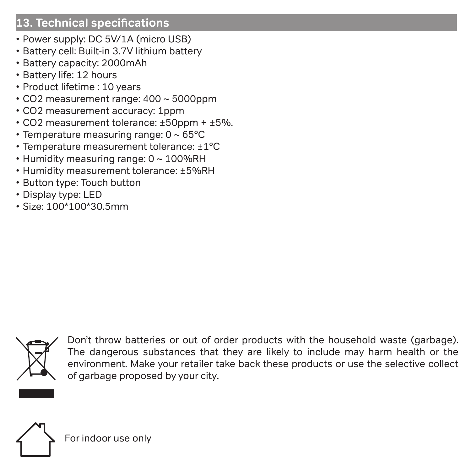### **13. Technical specifications**

- Power supply: DC 5V/1A (micro USB)
- Battery cell: Built-in 3.7V lithium battery
- Battery capacity: 2000mAh
- Battery life: 12 hours
- Product lifetime : 10 years
- CO2 measurement range: 400 ~ 5000ppm
- CO2 measurement accuracy: 1ppm
- CO2 measurement tolerance: ±50ppm + ±5%.
- Temperature measuring range: 0 ~ 65°C
- Temperature measurement tolerance: ±1°C
- Humidity measuring range: 0 ~ 100%RH
- Humidity measurement tolerance: ±5%RH
- Button type: Touch button
- Display type: LED
- Size: 100\*100\*30.5mm



Don't throw batteries or out of order products with the household waste (garbage). The dangerous substances that they are likely to include may harm health or the environment. Make your retailer take back these products or use the selective collect of garbage proposed by your city.



For indoor use only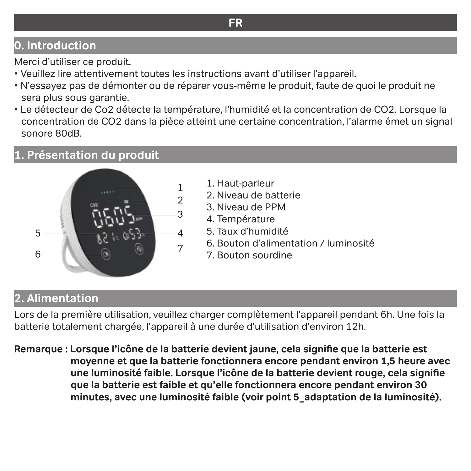# **0. Introduction**

Merci d'utiliser ce produit.

- Veuillez lire attentivement toutes les instructions avant d'utiliser l'appareil.
- N'essayez pas de démonter ou de réparer vous-même le produit, faute de quoi le produit ne sera plus sous garantie.
- Le détecteur de Co2 détecte la température, l'humidité et la concentration de CO2. Lorsque la concentration de CO2 dans la pièce atteint une certaine concentration, l'alarme émet un signal sonore 80dB.

# **1. Présentation du produit**



- 1. Haut-parleur
- 2. Niveau de batterie
- 3. Niveau de PPM
- 4. Température
- 5. Taux d'humidité
- 6. Bouton d'alimentation / luminosité
- 7. Bouton sourdine

# **2. Alimentation**

Lors de la première utilisation, veuillez charger complètement l'appareil pendant 6h. Une fois la batterie totalement chargée, l'appareil à une durée d'utilisation d'environ 12h.

**Remarque : Lorsque l'icône de la batterie devient jaune, cela signifie que la batterie est moyenne et que la batterie fonctionnera encore pendant environ 1,5 heure avec une luminosité faible. Lorsque l'icône de la batterie devient rouge, cela signifie que la batterie est faible et qu'elle fonctionnera encore pendant environ 30 minutes, avec une luminosité faible (voir point 5\_adaptation de la luminosité).**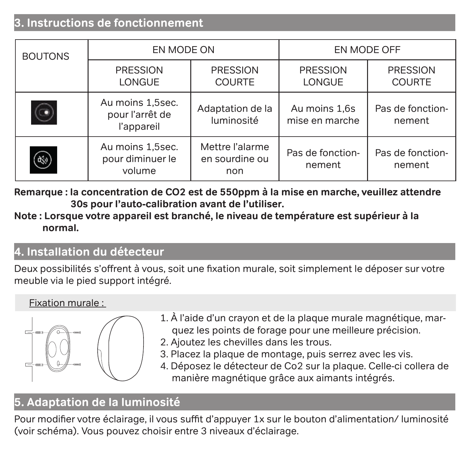### **3. Instructions de fonctionnement**

| <b>BOUTONS</b> | EN MODE ON                                        |                                          | EN MODE OFF                     |                                  |
|----------------|---------------------------------------------------|------------------------------------------|---------------------------------|----------------------------------|
|                | PRESSION<br><b>LONGUE</b>                         | PRESSION<br><b>COURTE</b>                | PRESSION<br>LONGUE              | <b>PRESSION</b><br><b>COURTE</b> |
|                | Au moins 1,5sec.<br>pour l'arrêt de<br>l'appareil | Adaptation de la<br>luminosité           | Au moins 1,6s<br>mise en marche | Pas de fonction-<br>nement       |
|                | Au moins 1,5sec.<br>pour diminuer le<br>volume    | Mettre l'alarme<br>en sourdine ou<br>non | Pas de fonction-<br>nement      | Pas de fonction-<br>nement       |

**Remarque : la concentration de CO2 est de 550ppm à la mise en marche, veuillez attendre 30s pour l'auto-calibration avant de l'utiliser.** 

#### **Note : Lorsque votre appareil est branché, le niveau de température est supérieur à la normal.**

#### **4. Installation du détecteur**

Deux possibilités s'offrent à vous, soit une fixation murale, soit simplement le déposer sur votre meuble via le pied support intégré.

#### Fixation murale :



- 1. À l'aide d'un crayon et de la plaque murale magnétique, marquez les points de forage pour une meilleure précision.
- 2. Ajoutez les chevilles dans les trous.
- 3. Placez la plaque de montage, puis serrez avec les vis.
- 4. Déposez le détecteur de Co2 sur la plaque. Celle-ci collera de manière magnétique grâce aux aimants intégrés.

# **5. Adaptation de la luminosité**

Pour modifier votre éclairage, il vous suffit d'appuyer 1x sur le bouton d'alimentation/ luminosité (voir schéma). Vous pouvez choisir entre 3 niveaux d'éclairage.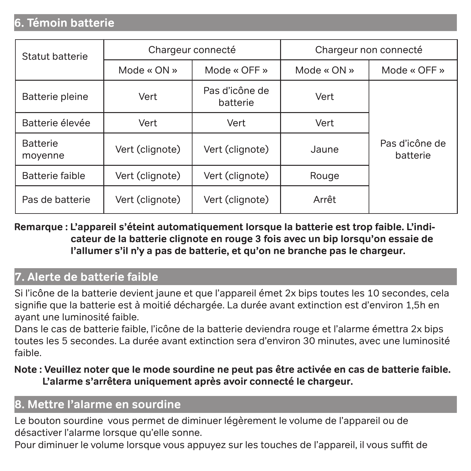### **6. Témoin batterie**

| Statut batterie            |                 | Chargeur connecté          |             | Chargeur non connecté      |  |
|----------------------------|-----------------|----------------------------|-------------|----------------------------|--|
|                            | Mode « ON »     | Mode « OFF »               | Mode « ON » | Mode « OFF »               |  |
| Batterie pleine            | Vert            | Pas d'icône de<br>batterie | Vert        |                            |  |
| Batterie élevée            | Vert            | Vert                       | Vert        |                            |  |
| <b>Batterie</b><br>moyenne | Vert (clignote) | Vert (clignote)            | Jaune       | Pas d'icône de<br>batterie |  |
| Batterie faible            | Vert (clignote) | Vert (clignote)            | Rouge       |                            |  |
| Pas de batterie            | Vert (clignote) | Vert (clignote)            | Arrêt       |                            |  |

**Remarque : L'appareil s'éteint automatiquement lorsque la batterie est trop faible. L'indicateur de la batterie clignote en rouge 3 fois avec un bip lorsqu'on essaie de l'allumer s'il n'y a pas de batterie, et qu'on ne branche pas le chargeur.**

# **7. Alerte de batterie faible**

Si l'icône de la batterie devient jaune et que l'appareil émet 2x bips toutes les 10 secondes, cela signifie que la batterie est à moitié déchargée. La durée avant extinction est d'environ 1,5h en ayant une luminosité faible.

Dans le cas de batterie faible, l'icône de la batterie deviendra rouge et l'alarme émettra 2x bips toutes les 5 secondes. La durée avant extinction sera d'environ 30 minutes, avec une luminosité faible.

#### **Note : Veuillez noter que le mode sourdine ne peut pas être activée en cas de batterie faible. L'alarme s'arrêtera uniquement après avoir connecté le chargeur.**

### **8. Mettre l'alarme en sourdine**

Le bouton sourdine vous permet de diminuer légèrement le volume de l'appareil ou de désactiver l'alarme lorsque qu'elle sonne.

Pour diminuer le volume lorsque vous appuyez sur les touches de l'appareil, il vous suffit de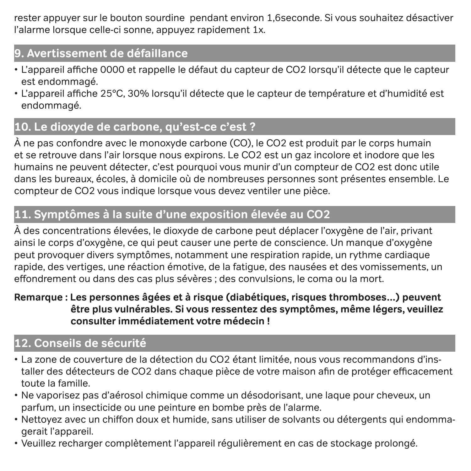rester appuyer sur le bouton sourdine pendant environ 1,6seconde. Si vous souhaitez désactiver l'alarme lorsque celle-ci sonne, appuyez rapidement 1x.

# **9. Avertissement de défaillance**

- L'appareil affiche 0000 et rappelle le défaut du capteur de CO2 lorsqu'il détecte que le capteur est endommagé.
- L'appareil affiche 25°C, 30% lorsqu'il détecte que le capteur de température et d'humidité est endommagé.

# **10. Le dioxyde de carbone, qu'est-ce c'est ?**

À ne pas confondre avec le monoxyde carbone (CO), le CO2 est produit par le corps humain et se retrouve dans l'air lorsque nous expirons. Le CO2 est un gaz incolore et inodore que les humains ne peuvent détecter, c'est pourquoi vous munir d'un compteur de CO2 est donc utile dans les bureaux, écoles, à domicile où de nombreuses personnes sont présentes ensemble. Le compteur de CO2 vous indique lorsque vous devez ventiler une pièce.

# **11. Symptômes à la suite d'une exposition élevée au CO2**

À des concentrations élevées, le dioxyde de carbone peut déplacer l'oxygène de l'air, privant ainsi le corps d'oxygène, ce qui peut causer une perte de conscience. Un manque d'oxygène peut provoquer divers symptômes, notamment une respiration rapide, un rythme cardiaque rapide, des vertiges, une réaction émotive, de la fatigue, des nausées et des vomissements, un effondrement ou dans des cas plus sévères ; des convulsions, le coma ou la mort.

#### **Remarque : Les personnes âgées et à risque (diabétiques, risques thromboses…) peuvent être plus vulnérables. Si vous ressentez des symptômes, même légers, veuillez consulter immédiatement votre médecin !**

# **12. Conseils de sécurité**

- La zone de couverture de la détection du CO2 étant limitée, nous vous recommandons d'installer des détecteurs de CO2 dans chaque pièce de votre maison afin de protéger efficacement toute la famille.
- Ne vaporisez pas d'aérosol chimique comme un désodorisant, une laque pour cheveux, un parfum, un insecticide ou une peinture en bombe près de l'alarme.
- Nettoyez avec un chiffon doux et humide, sans utiliser de solvants ou détergents qui endommagerait l'appareil.
- Veuillez recharger complètement l'appareil régulièrement en cas de stockage prolongé.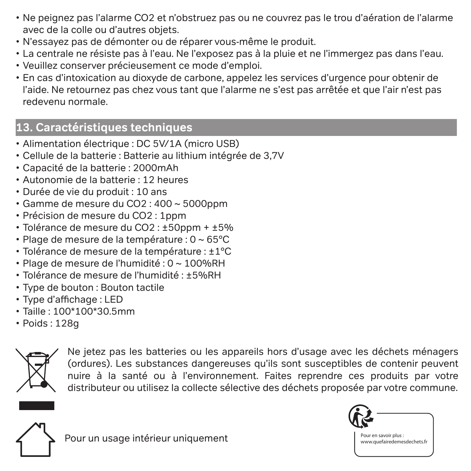- Ne peignez pas l'alarme CO2 et n'obstruez pas ou ne couvrez pas le trou d'aération de l'alarme avec de la colle ou d'autres objets.
- N'essayez pas de démonter ou de réparer vous-même le produit.
- La centrale ne résiste pas à l'eau. Ne l'exposez pas à la pluie et ne l'immergez pas dans l'eau.
- Veuillez conserver précieusement ce mode d'emploi.
- En cas d'intoxication au dioxyde de carbone, appelez les services d'urgence pour obtenir de l'aide. Ne retournez pas chez vous tant que l'alarme ne s'est pas arrêtée et que l'air n'est pas redevenu normale.

# **13. Caractéristiques techniques**

- Alimentation électrique : DC 5V/1A (micro USB)
- Cellule de la batterie : Batterie au lithium intégrée de 3,7V
- Capacité de la batterie : 2000mAh
- Autonomie de la batterie : 12 heures
- Durée de vie du produit : 10 ans
- Gamme de mesure du CO2 : 400 ~ 5000ppm
- Précision de mesure du CO2 : 1ppm
- Tolérance de mesure du CO2 : ±50ppm + ±5%
- Plage de mesure de la température : 0 ~ 65°C
- Tolérance de mesure de la température : ±1°C
- Plage de mesure de l'humidité : 0 ~ 100%RH
- Tolérance de mesure de l'humidité : ±5%RH
- Type de bouton : Bouton tactile
- Type d'affichage : LED
- Taille : 100\*100\*30.5mm
- Poids : 128g



Ne jetez pas les batteries ou les appareils hors d'usage avec les déchets ménagers (ordures). Les substances dangereuses qu'ils sont susceptibles de contenir peuvent nuire à la santé ou à l'environnement. Faites reprendre ces produits par votre distributeur ou utilisez la collecte sélective des déchets proposée par votre commune.



Pour un usage intérieur uniquement



Pour en savoir plus : www.quefairedemesdechets.fr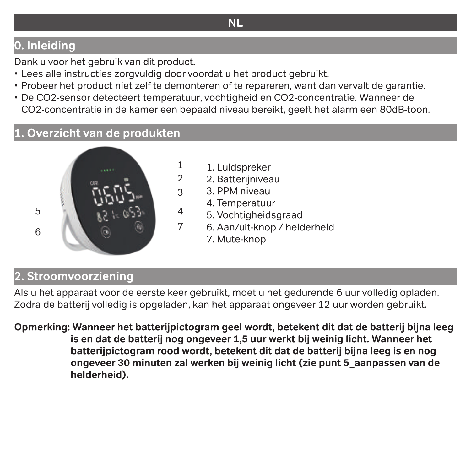# **NL**

# **0. Inleiding**

Dank u voor het gebruik van dit product.

- Lees alle instructies zorgvuldig door voordat u het product gebruikt.
- Probeer het product niet zelf te demonteren of te repareren, want dan vervalt de garantie.
- De CO2-sensor detecteert temperatuur, vochtigheid en CO2-concentratie. Wanneer de CO2-concentratie in de kamer een bepaald niveau bereikt, geeft het alarm een 80dB-toon.

#### **1. Overzicht van de produkten**



- 1. Luidspreker
- 2. Batterijniveau
- 3. PPM niveau
- 4. Temperatuur
- 5. Vochtigheidsgraad
- 6. Aan/uit-knop / helderheid
- 7. Mute-knop

# **2. Stroomvoorziening**

Als u het apparaat voor de eerste keer gebruikt, moet u het gedurende 6 uur volledig opladen. Zodra de batterij volledig is opgeladen, kan het apparaat ongeveer 12 uur worden gebruikt.

**Opmerking: Wanneer het batterijpictogram geel wordt, betekent dit dat de batterij bijna leeg is en dat de batterij nog ongeveer 1,5 uur werkt bij weinig licht. Wanneer het batterijpictogram rood wordt, betekent dit dat de batterij bijna leeg is en nog ongeveer 30 minuten zal werken bij weinig licht (zie punt 5\_aanpassen van de helderheid).**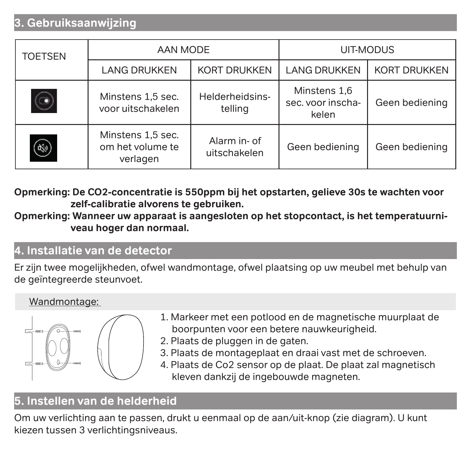# **3. Gebruiksaanwijzing**

| <b>TOETSEN</b> | AAN MODE                                          |                              | UIT-MODUS                                  |                     |
|----------------|---------------------------------------------------|------------------------------|--------------------------------------------|---------------------|
|                | <b>LANG DRUKKEN</b>                               | <b>KORT DRUKKEN</b>          | <b>LANG DRUKKEN</b>                        | <b>KORT DRUKKEN</b> |
|                | Minstens 1,5 sec.<br>voor uitschakelen.           | Helderheidsins-<br>telling   | Minstens 1.6<br>sec. voor inscha-<br>kelen | Geen bediening      |
| ٩              | Minstens 1,5 sec.<br>om het volume te<br>verlagen | Alarm in- of<br>uitschakelen | Geen bediening                             | Geen bediening      |

**Opmerking: De CO2-concentratie is 550ppm bij het opstarten, gelieve 30s te wachten voor zelf-calibratie alvorens te gebruiken.** 

**Opmerking: Wanneer uw apparaat is aangesloten op het stopcontact, is het temperatuurniveau hoger dan normaal.** 

## **4. Installatie van de detector**

Er zijn twee mogelijkheden, ofwel wandmontage, ofwel plaatsing op uw meubel met behulp van de geïntegreerde steunvoet.

#### Wandmontage:



- 1. Markeer met een potlood en de magnetische muurplaat de boorpunten voor een betere nauwkeurigheid.
- 2. Plaats de pluggen in de gaten.
- 3. Plaats de montageplaat en draai vast met de schroeven.
- 4. Plaats de Co2 sensor op de plaat. De plaat zal magnetisch kleven dankzij de ingebouwde magneten.

# **5. Instellen van de helderheid**

Om uw verlichting aan te passen, drukt u eenmaal op de aan/uit-knop (zie diagram). U kunt kiezen tussen 3 verlichtingsniveaus.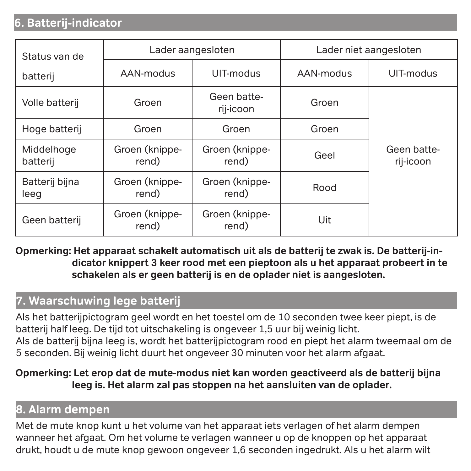## **6. Batterij-indicator**

| Status van de          |                         | Lader aangesloten        | Lader niet aangesloten |                          |
|------------------------|-------------------------|--------------------------|------------------------|--------------------------|
| batterij               | AAN-modus               | UIT-modus                | AAN-modus              | UIT-modus                |
| Volle batterij         | Groen                   | Geen batte-<br>rij-icoon | Groen                  |                          |
| Hoge batterij          | Groen                   | Groen                    | Groen                  |                          |
| Middelhoge<br>batterij | Groen (knippe-<br>rend) | Groen (knippe-<br>rend)  | Geel                   | Geen batte-<br>rij-icoon |
| Batterij bijna<br>leeg | Groen (knippe-<br>rend) | Groen (knippe-<br>rend)  | Rood                   |                          |
| Geen batterij          | Groen (knippe-<br>rend) | Groen (knippe-<br>rend)  | Uit                    |                          |

**Opmerking: Het apparaat schakelt automatisch uit als de batterij te zwak is. De batterij-indicator knippert 3 keer rood met een pieptoon als u het apparaat probeert in te schakelen als er geen batterij is en de oplader niet is aangesloten.**

### **7. Waarschuwing lege batterij**

Als het batterijpictogram geel wordt en het toestel om de 10 seconden twee keer piept, is de batterij half leeg. De tijd tot uitschakeling is ongeveer 1,5 uur bij weinig licht. Als de batterij bijna leeg is, wordt het batterijpictogram rood en piept het alarm tweemaal om de 5 seconden. Bij weinig licht duurt het ongeveer 30 minuten voor het alarm afgaat.

#### **Opmerking: Let erop dat de mute-modus niet kan worden geactiveerd als de batterij bijna leeg is. Het alarm zal pas stoppen na het aansluiten van de oplader.**

#### **8. Alarm dempen**

Met de mute knop kunt u het volume van het apparaat iets verlagen of het alarm dempen wanneer het afgaat. Om het volume te verlagen wanneer u op de knoppen op het apparaat drukt, houdt u de mute knop gewoon ongeveer 1,6 seconden ingedrukt. Als u het alarm wilt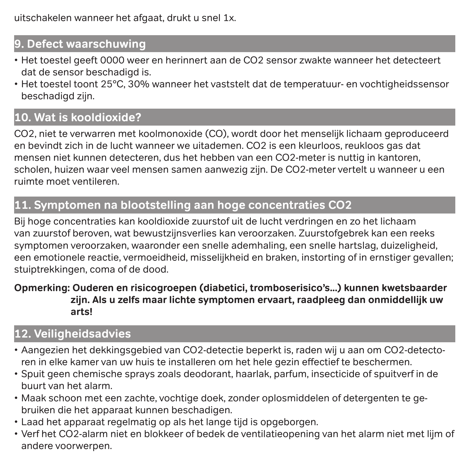uitschakelen wanneer het afgaat, drukt u snel 1x.

### **9. Defect waarschuwing**

- Het toestel geeft 0000 weer en herinnert aan de CO2 sensor zwakte wanneer het detecteert dat de sensor beschadigd is.
- Het toestel toont 25°C, 30% wanneer het vaststelt dat de temperatuur- en vochtigheidssensor beschadigd zijn.

# **10. Wat is kooldioxide?**

CO2, niet te verwarren met koolmonoxide (CO), wordt door het menselijk lichaam geproduceerd en bevindt zich in de lucht wanneer we uitademen. CO2 is een kleurloos, reukloos gas dat mensen niet kunnen detecteren, dus het hebben van een CO2-meter is nuttig in kantoren, scholen, huizen waar veel mensen samen aanwezig zijn. De CO2-meter vertelt u wanneer u een ruimte moet ventileren.

# **11. Symptomen na blootstelling aan hoge concentraties CO2**

Bij hoge concentraties kan kooldioxide zuurstof uit de lucht verdringen en zo het lichaam van zuurstof beroven, wat bewustzijnsverlies kan veroorzaken. Zuurstofgebrek kan een reeks symptomen veroorzaken, waaronder een snelle ademhaling, een snelle hartslag, duizeligheid, een emotionele reactie, vermoeidheid, misselijkheid en braken, instorting of in ernstiger gevallen; stuiptrekkingen, coma of de dood.

#### **Opmerking: Ouderen en risicogroepen (diabetici, tromboserisico's...) kunnen kwetsbaarder zijn. Als u zelfs maar lichte symptomen ervaart, raadpleeg dan onmiddellijk uw arts!**

# **12. Veiligheidsadvies**

- Aangezien het dekkingsgebied van CO2-detectie beperkt is, raden wij u aan om CO2-detectoren in elke kamer van uw huis te installeren om het hele gezin effectief te beschermen.
- Spuit geen chemische sprays zoals deodorant, haarlak, parfum, insecticide of spuitverf in de buurt van het alarm.
- Maak schoon met een zachte, vochtige doek, zonder oplosmiddelen of detergenten te gebruiken die het apparaat kunnen beschadigen.
- Laad het apparaat regelmatig op als het lange tijd is opgeborgen.
- Verf het CO2-alarm niet en blokkeer of bedek de ventilatieopening van het alarm niet met lijm of andere voorwerpen.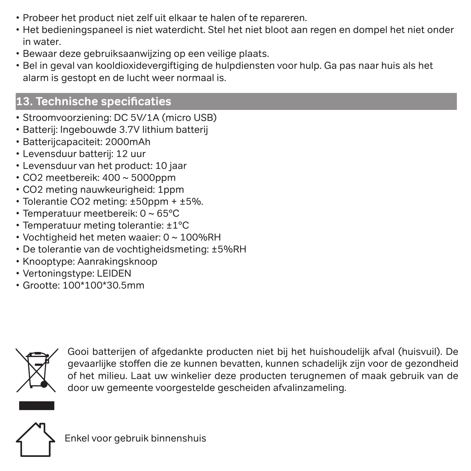- Probeer het product niet zelf uit elkaar te halen of te repareren.
- Het bedieningspaneel is niet waterdicht. Stel het niet bloot aan regen en dompel het niet onder in water.
- Bewaar deze gebruiksaanwijzing op een veilige plaats.
- Bel in geval van kooldioxidevergiftiging de hulpdiensten voor hulp. Ga pas naar huis als het alarm is gestopt en de lucht weer normaal is.

# **13. Technische specificaties**

- Stroomvoorziening: DC 5V/1A (micro USB)
- Batterij: Ingebouwde 3.7V lithium batterij
- Batterijcapaciteit: 2000mAh
- Levensduur batterij: 12 uur
- Levensduur van het product: 10 jaar
- $\cdot$  CO2 meetbereik: 400  $\sim$  5000ppm
- CO2 meting nauwkeurigheid: 1ppm
- Tolerantie CO2 meting: ±50ppm + ±5%.
- Temperatuur meetbereik: 0 ~ 65°C
- Temperatuur meting tolerantie: ±1°C
- Vochtigheid het meten waaier: 0 ~ 100%RH
- De tolerantie van de vochtigheidsmeting: ±5%RH
- Knooptype: Aanrakingsknoop
- Vertoningstype: LEIDEN
- Grootte: 100\*100\*30.5mm



Gooi batterijen of afgedankte producten niet bij het huishoudelijk afval (huisvuil). De gevaarlijke stoffen die ze kunnen bevatten, kunnen schadelijk zijn voor de gezondheid of het milieu. Laat uw winkelier deze producten terugnemen of maak gebruik van de door uw gemeente voorgestelde gescheiden afvalinzameling.



Enkel voor gebruik binnenshuis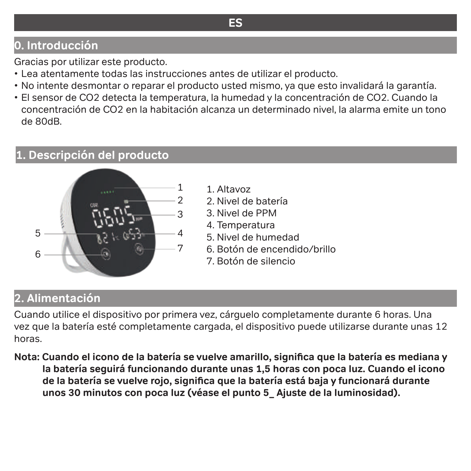# **0. Introducción**

Gracias por utilizar este producto.

- Lea atentamente todas las instrucciones antes de utilizar el producto.
- No intente desmontar o reparar el producto usted mismo, ya que esto invalidará la garantía.
- El sensor de CO2 detecta la temperatura, la humedad y la concentración de CO2. Cuando la concentración de CO2 en la habitación alcanza un determinado nivel, la alarma emite un tono de 80dB.

#### **1. Descripción del producto**



- 1. Altavoz
- 2. Nivel de batería
- 3. Nivel de PPM
- 4. Temperatura
- 5. Nivel de humedad
- 6. Botón de encendido/brillo
- 7. Botón de silencio

# **2. Alimentación**

Cuando utilice el dispositivo por primera vez, cárguelo completamente durante 6 horas. Una vez que la batería esté completamente cargada, el dispositivo puede utilizarse durante unas 12 horas.

**Nota: Cuando el icono de la batería se vuelve amarillo, significa que la batería es mediana y la batería seguirá funcionando durante unas 1,5 horas con poca luz. Cuando el icono de la batería se vuelve rojo, significa que la batería está baja y funcionará durante unos 30 minutos con poca luz (véase el punto 5\_ Ajuste de la luminosidad).**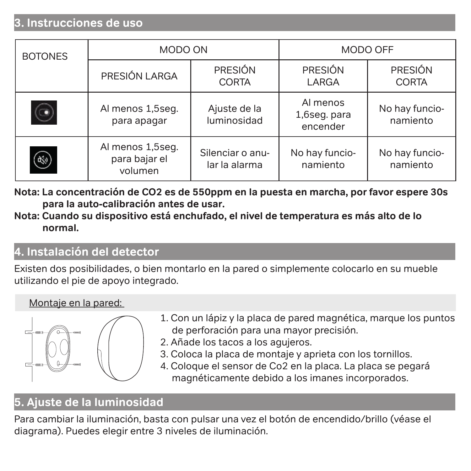### **3. Instrucciones de uso**

| <b>BOTONES</b> | MODO ON                                      |                                   | MODO OFF                             |                            |
|----------------|----------------------------------------------|-----------------------------------|--------------------------------------|----------------------------|
|                | PRESIÓN LARGA                                | PRESIÓN<br>CORTA                  | PRESIÓN<br>LARGA                     | PRESIÓN<br><b>CORTA</b>    |
|                | Al menos 1,5seg.<br>para apagar              | Ajuste de la<br>luminosidad       | Al menos<br>1,6seq. para<br>encender | No hay funcio-<br>namiento |
| ۣ              | Al menos 1,5seg.<br>para bajar el<br>volumen | Silenciar o anu-<br>lar la alarma | No hay funcio-<br>namiento           | No hay funcio-<br>namiento |

- **Nota: La concentración de CO2 es de 550ppm en la puesta en marcha, por favor espere 30s para la auto-calibración antes de usar.**
- **Nota: Cuando su dispositivo está enchufado, el nivel de temperatura es más alto de lo normal.**

#### **4. Instalación del detector**

Existen dos posibilidades, o bien montarlo en la pared o simplemente colocarlo en su mueble utilizando el pie de apoyo integrado.

#### Montaje en la pared:



- 1. Con un lápiz y la placa de pared magnética, marque los puntos de perforación para una mayor precisión.
- 2. Añade los tacos a los agujeros.
- 3. Coloca la placa de montaje y aprieta con los tornillos.
- 4. Coloque el sensor de Co2 en la placa. La placa se pegará magnéticamente debido a los imanes incorporados.

# **5. Ajuste de la luminosidad**

Para cambiar la iluminación, basta con pulsar una vez el botón de encendido/brillo (véase el diagrama). Puedes elegir entre 3 niveles de iluminación.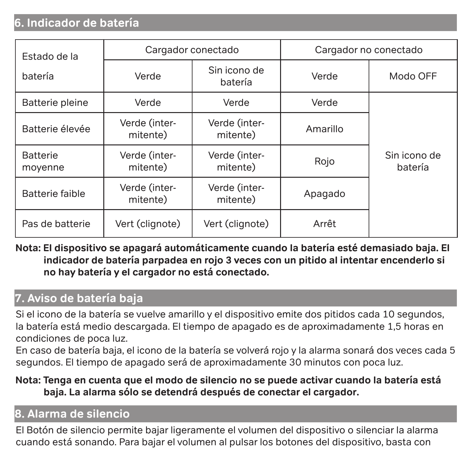### **6. Indicador de batería**

| Estado de la               | Cargador conectado        |                           |          | Cargador no conectado   |  |
|----------------------------|---------------------------|---------------------------|----------|-------------------------|--|
| batería                    | Verde                     | Sin icono de<br>batería   | Verde    | Modo OFF                |  |
| Batterie pleine            | Verde                     | Verde                     | Verde    |                         |  |
| Batterie élevée            | Verde (inter-<br>mitente) | Verde (inter-<br>mitente) | Amarillo |                         |  |
| <b>Batterie</b><br>moyenne | Verde (inter-<br>mitente) | Verde (inter-<br>mitente) | Rojo     | Sin icono de<br>batería |  |
| Batterie faible            | Verde (inter-<br>mitente) | Verde (inter-<br>mitente) | Apagado  |                         |  |
| Pas de batterie            | Vert (clignote)           | Vert (clignote)           | Arrêt    |                         |  |

**Nota: El dispositivo se apagará automáticamente cuando la batería esté demasiado baja. El indicador de batería parpadea en rojo 3 veces con un pitido al intentar encenderlo si no hay batería y el cargador no está conectado.**

## **7. Aviso de batería baja**

Si el icono de la batería se vuelve amarillo y el dispositivo emite dos pitidos cada 10 segundos, la batería está medio descargada. El tiempo de apagado es de aproximadamente 1,5 horas en condiciones de poca luz.

En caso de batería baja, el icono de la batería se volverá rojo y la alarma sonará dos veces cada 5 segundos. El tiempo de apagado será de aproximadamente 30 minutos con poca luz.

#### **Nota: Tenga en cuenta que el modo de silencio no se puede activar cuando la batería está baja. La alarma sólo se detendrá después de conectar el cargador.**

# **8. Alarma de silencio**

El Botón de silencio permite bajar ligeramente el volumen del dispositivo o silenciar la alarma cuando está sonando. Para bajar el volumen al pulsar los botones del dispositivo, basta con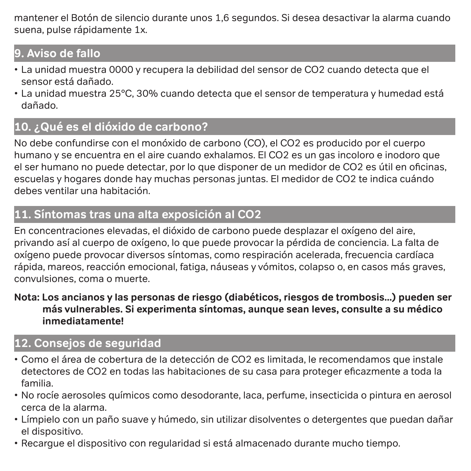mantener el Botón de silencio durante unos 1,6 segundos. Si desea desactivar la alarma cuando suena, pulse rápidamente 1x.

# **9. Aviso de fallo**

- La unidad muestra 0000 y recupera la debilidad del sensor de CO2 cuando detecta que el sensor está dañado.
- La unidad muestra 25°C, 30% cuando detecta que el sensor de temperatura y humedad está dañado.

# **10. ¿Qué es el dióxido de carbono?**

No debe confundirse con el monóxido de carbono (CO), el CO2 es producido por el cuerpo humano y se encuentra en el aire cuando exhalamos. El CO2 es un gas incoloro e inodoro que el ser humano no puede detectar, por lo que disponer de un medidor de CO2 es útil en oficinas, escuelas y hogares donde hay muchas personas juntas. El medidor de CO2 te indica cuándo debes ventilar una habitación.

# **11. Síntomas tras una alta exposición al CO2**

En concentraciones elevadas, el dióxido de carbono puede desplazar el oxígeno del aire, privando así al cuerpo de oxígeno, lo que puede provocar la pérdida de conciencia. La falta de oxígeno puede provocar diversos síntomas, como respiración acelerada, frecuencia cardíaca rápida, mareos, reacción emocional, fatiga, náuseas y vómitos, colapso o, en casos más graves, convulsiones, coma o muerte.

#### **Nota: Los ancianos y las personas de riesgo (diabéticos, riesgos de trombosis...) pueden ser más vulnerables. Si experimenta síntomas, aunque sean leves, consulte a su médico inmediatamente!**

# **12. Consejos de seguridad**

- Como el área de cobertura de la detección de CO2 es limitada, le recomendamos que instale detectores de CO2 en todas las habitaciones de su casa para proteger eficazmente a toda la familia.
- No rocíe aerosoles químicos como desodorante, laca, perfume, insecticida o pintura en aerosol cerca de la alarma.
- Límpielo con un paño suave y húmedo, sin utilizar disolventes o detergentes que puedan dañar el dispositivo.
- Recargue el dispositivo con regularidad si está almacenado durante mucho tiempo.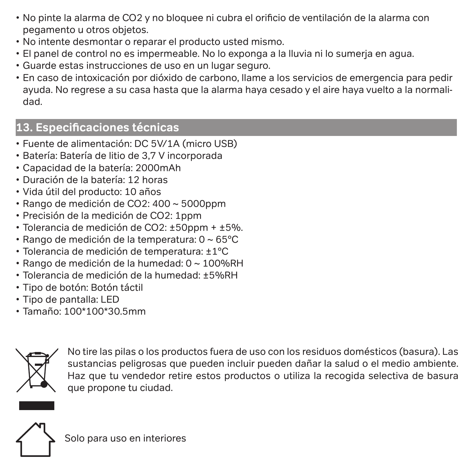- No pinte la alarma de CO2 y no bloquee ni cubra el orificio de ventilación de la alarma con pegamento u otros objetos.
- No intente desmontar o reparar el producto usted mismo.
- El panel de control no es impermeable. No lo exponga a la lluvia ni lo sumerja en agua.
- Guarde estas instrucciones de uso en un lugar seguro.
- En caso de intoxicación por dióxido de carbono, llame a los servicios de emergencia para pedir ayuda. No regrese a su casa hasta que la alarma haya cesado y el aire haya vuelto a la normalidad.

# **13. Especificaciones técnicas**

- Fuente de alimentación: DC 5V/1A (micro USB)
- Batería: Batería de litio de 3,7 V incorporada
- Capacidad de la batería: 2000mAh
- Duración de la batería: 12 horas
- Vida útil del producto: 10 años
- Rango de medición de CO2: 400 ~ 5000ppm
- Precisión de la medición de CO2: 1ppm
- $\cdot$  Tolerancia de medición de CO2:  $\pm$ 50ppm +  $\pm$ 5%.
- Rango de medición de la temperatura: 0 ~ 65°C
- Tolerancia de medición de temperatura: ±1°C
- Rango de medición de la humedad: 0 ~ 100%RH
- Tolerancia de medición de la humedad: ±5%RH
- Tipo de botón: Botón táctil
- Tipo de pantalla: LED
- Tamaño: 100\*100\*30.5mm



No tire las pilas o los productos fuera de uso con los residuos domésticos (basura). Las sustancias peligrosas que pueden incluir pueden dañar la salud o el medio ambiente. Haz que tu vendedor retire estos productos o utiliza la recogida selectiva de basura que propone tu ciudad.



Solo para uso en interiores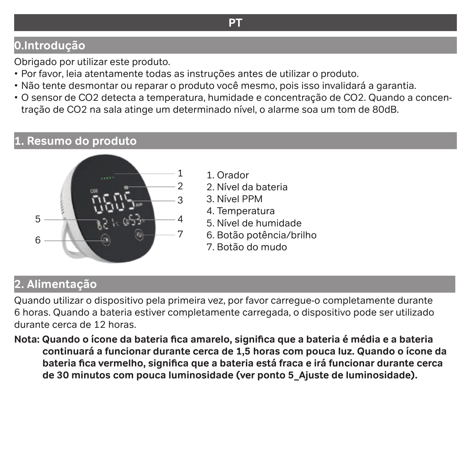### **0.Introdução**

Obrigado por utilizar este produto.

- Por favor, leia atentamente todas as instruções antes de utilizar o produto.
- Não tente desmontar ou reparar o produto você mesmo, pois isso invalidará a garantia.
- O sensor de CO2 detecta a temperatura, humidade e concentração de CO2. Quando a concentração de CO2 na sala atinge um determinado nível, o alarme soa um tom de 80dB.

#### **1. Resumo do produto**



- 1. Orador
- 2. Nível da bateria
- 3. Nível PPM
- 4. Temperatura
- 5. Nível de humidade
- 6. Botão potência/brilho
- 7. Botão do mudo

# **2. Alimentação**

Quando utilizar o dispositivo pela primeira vez, por favor carregue-o completamente durante 6 horas. Quando a bateria estiver completamente carregada, o dispositivo pode ser utilizado durante cerca de 12 horas.

**Nota: Quando o ícone da bateria fica amarelo, significa que a bateria é média e a bateria continuará a funcionar durante cerca de 1,5 horas com pouca luz. Quando o ícone da bateria fica vermelho, significa que a bateria está fraca e irá funcionar durante cerca de 30 minutos com pouca luminosidade (ver ponto 5\_Ajuste de luminosidade).**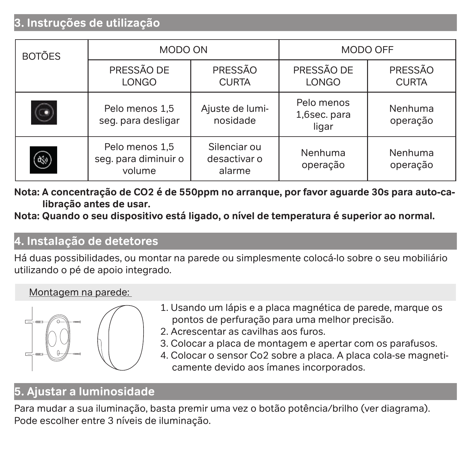## **3. Instruções de utilização**

| <b>BOTÕES</b> |                                                  | MODO ON<br>MODO OFF                    |                                     |                         |
|---------------|--------------------------------------------------|----------------------------------------|-------------------------------------|-------------------------|
|               | PRESSÃO DE<br>LONGO                              | PRESSÃO<br><b>CURTA</b>                | PRESSÃO DE<br><b>LONGO</b>          | PRESSÃO<br><b>CURTA</b> |
|               | Pelo menos 1.5<br>seg. para desligar             | Ajuste de lumi-<br>nosidade            | Pelo menos<br>1,6sec. para<br>ligar | Nenhuma<br>operação     |
| 參             | Pelo menos 1,5<br>seg. para diminuir o<br>volume | Silenciar ou<br>desactivar o<br>alarme | Nenhuma<br>operação                 | Nenhuma<br>operação     |

**Nota: A concentração de CO2 é de 550ppm no arranque, por favor aguarde 30s para auto-calibração antes de usar.** 

**Nota: Quando o seu dispositivo está ligado, o nível de temperatura é superior ao normal.** 

#### **4. Instalação de detetores**

Há duas possibilidades, ou montar na parede ou simplesmente colocá-lo sobre o seu mobiliário utilizando o pé de apoio integrado.

#### Montagem na parede:



- 1. Usando um lápis e a placa magnética de parede, marque os pontos de perfuração para uma melhor precisão.
- 2. Acrescentar as cavilhas aos furos.
- 3. Colocar a placa de montagem e apertar com os parafusos.
- 4. Colocar o sensor Co2 sobre a placa. A placa cola-se magneticamente devido aos ímanes incorporados.

# **5. Ajustar a luminosidade**

Para mudar a sua iluminação, basta premir uma vez o botão potência/brilho (ver diagrama). Pode escolher entre 3 níveis de iluminação.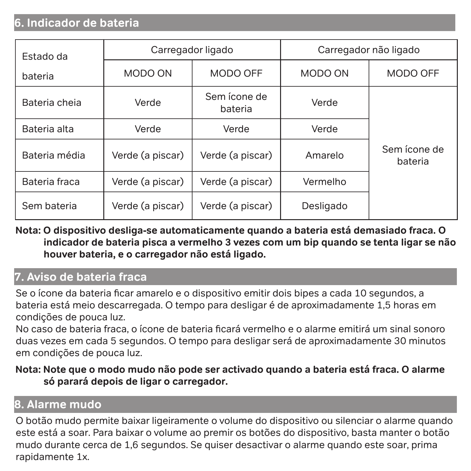### **6. Indicador de bateria**

| Estado da     | Carregador ligado |                         | Carregador não ligado |                         |
|---------------|-------------------|-------------------------|-----------------------|-------------------------|
| bateria       | MODO ON           | MODO OFF                | MODO ON               | MODO OFF                |
| Bateria cheia | Verde             | Sem ícone de<br>bateria | Verde                 |                         |
| Bateria alta  | Verde             | Verde                   | Verde                 |                         |
| Bateria média | Verde (a piscar)  | Verde (a piscar)        | Amarelo               | Sem ícone de<br>bateria |
| Bateria fraca | Verde (a piscar)  | Verde (a piscar)        | Vermelho              |                         |
| Sem bateria   | Verde (a piscar)  | Verde (a piscar)        | Desligado             |                         |

#### **Nota: O dispositivo desliga-se automaticamente quando a bateria está demasiado fraca. O indicador de bateria pisca a vermelho 3 vezes com um bip quando se tenta ligar se não houver bateria, e o carregador não está ligado.**

# **7. Aviso de bateria fraca**

Se o ícone da bateria ficar amarelo e o dispositivo emitir dois bipes a cada 10 segundos, a bateria está meio descarregada. O tempo para desligar é de aproximadamente 1,5 horas em condições de pouca luz.

No caso de bateria fraca, o ícone de bateria ficará vermelho e o alarme emitirá um sinal sonoro duas vezes em cada 5 segundos. O tempo para desligar será de aproximadamente 30 minutos em condições de pouca luz.

#### **Nota: Note que o modo mudo não pode ser activado quando a bateria está fraca. O alarme só parará depois de ligar o carregador.**

# **8. Alarme mudo**

O botão mudo permite baixar ligeiramente o volume do dispositivo ou silenciar o alarme quando este está a soar. Para baixar o volume ao premir os botões do dispositivo, basta manter o botão mudo durante cerca de 1,6 segundos. Se quiser desactivar o alarme quando este soar, prima rapidamente 1x.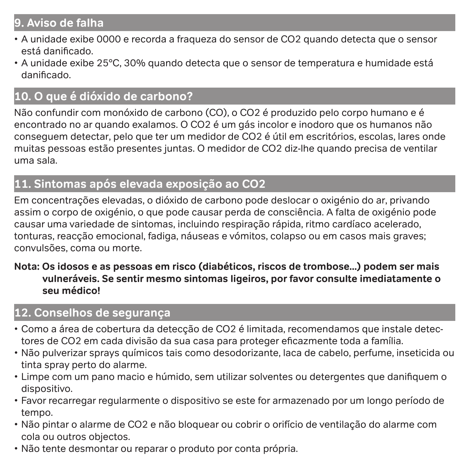### **9. Aviso de falha**

- A unidade exibe 0000 e recorda a fraqueza do sensor de CO2 quando detecta que o sensor está danificado.
- A unidade exibe 25°C, 30% quando detecta que o sensor de temperatura e humidade está danificado.

# **10. O que é dióxido de carbono?**

Não confundir com monóxido de carbono (CO), o CO2 é produzido pelo corpo humano e é encontrado no ar quando exalamos. O CO2 é um gás incolor e inodoro que os humanos não conseguem detectar, pelo que ter um medidor de CO2 é útil em escritórios, escolas, lares onde muitas pessoas estão presentes juntas. O medidor de CO2 diz-lhe quando precisa de ventilar uma sala.

### **11. Sintomas após elevada exposição ao CO2**

Em concentrações elevadas, o dióxido de carbono pode deslocar o oxigénio do ar, privando assim o corpo de oxigénio, o que pode causar perda de consciência. A falta de oxigénio pode causar uma variedade de sintomas, incluindo respiração rápida, ritmo cardíaco acelerado, tonturas, reacção emocional, fadiga, náuseas e vómitos, colapso ou em casos mais graves; convulsões, coma ou morte.

#### **Nota: Os idosos e as pessoas em risco (diabéticos, riscos de trombose...) podem ser mais vulneráveis. Se sentir mesmo sintomas ligeiros, por favor consulte imediatamente o seu médico!**

# **12. Conselhos de segurança**

- Como a área de cobertura da detecção de CO2 é limitada, recomendamos que instale detectores de CO2 em cada divisão da sua casa para proteger eficazmente toda a família.
- Não pulverizar sprays químicos tais como desodorizante, laca de cabelo, perfume, inseticida ou tinta spray perto do alarme.
- Limpe com um pano macio e húmido, sem utilizar solventes ou detergentes que danifiquem o dispositivo.
- Favor recarregar regularmente o dispositivo se este for armazenado por um longo período de tempo.
- Não pintar o alarme de CO2 e não bloquear ou cobrir o orifício de ventilação do alarme com cola ou outros objectos.
- Não tente desmontar ou reparar o produto por conta própria.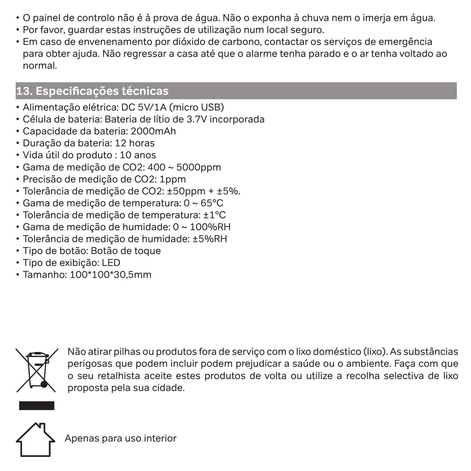- O painel de controlo não é à prova de água. Não o exponha à chuva nem o imerja em água.
- Por favor, guardar estas instruções de utilização num local seguro.
- Em caso de envenenamento por dióxido de carbono, contactar os serviços de emergência para obter ajuda. Não regressar a casa até que o alarme tenha parado e o ar tenha voltado ao normal.

# **13. Especificações técnicas**

- Alimentação elétrica: DC 5V/1A (micro USB)
- Célula de bateria: Bateria de lítio de 3.7V incorporada
- Capacidade da bateria: 2000mAh
- Duração da bateria: 12 horas
- Vida útil do produto : 10 anos
- Gama de medição de CO2: 400 ~ 5000ppm
- Precisão de medição de CO2: 1ppm
- Tolerância de medição de CO2: ±50ppm + ±5%.
- Gama de medição de temperatura: 0 ~ 65°C
- Tolerância de medição de temperatura: ±1°C
- Gama de medição de humidade: 0 ~ 100%RH
- Tolerância de medição de humidade: ±5%RH
- Tipo de botão: Botão de toque
- Tipo de exibição: LED
- $\cdot$  Tamanho: 100\*100\*30,5mm



Não atirar pilhas ou produtos fora de serviço com o lixo doméstico (lixo). As substâncias perigosas que podem incluir podem prejudicar a saúde ou o ambiente. Faça com que o seu retalhista aceite estes produtos de volta ou utilize a recolha selectiva de lixo proposta pela sua cidade.

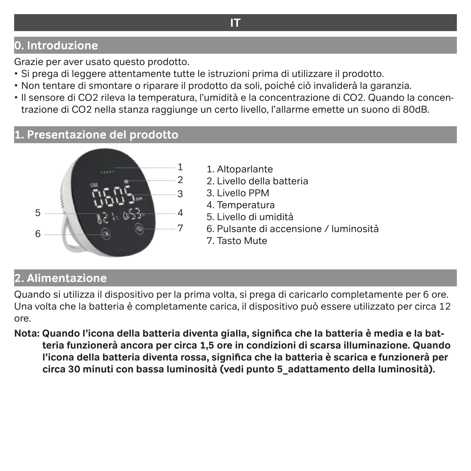# **0. Introduzione**

Grazie per aver usato questo prodotto.

- Si prega di leggere attentamente tutte le istruzioni prima di utilizzare il prodotto.
- Non tentare di smontare o riparare il prodotto da soli, poiché ciò invaliderà la garanzia.
- Il sensore di CO2 rileva la temperatura, l'umidità e la concentrazione di CO2. Quando la concentrazione di CO2 nella stanza raggiunge un certo livello, l'allarme emette un suono di 80dB.

### **1. Presentazione del prodotto**



- 1. Altoparlante
- 2. Livello della batteria
- 3. Livello PPM
- 4. Temperatura
- 5. Livello di umidità
- 6. Pulsante di accensione / luminosità
- 7. Tasto Mute

# **2. Alimentazione**

Quando si utilizza il dispositivo per la prima volta, si prega di caricarlo completamente per 6 ore. Una volta che la batteria è completamente carica, il dispositivo può essere utilizzato per circa 12 ore.

**Nota: Quando l'icona della batteria diventa gialla, significa che la batteria è media e la batteria funzionerà ancora per circa 1,5 ore in condizioni di scarsa illuminazione. Quando l'icona della batteria diventa rossa, significa che la batteria è scarica e funzionerà per circa 30 minuti con bassa luminosità (vedi punto 5\_adattamento della luminosità).**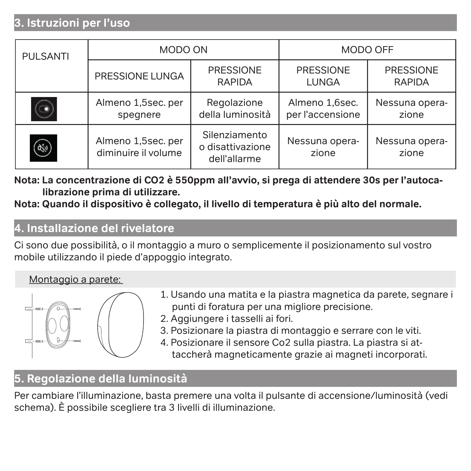# **3. Istruzioni per l'uso**

| <b>PULSANTI</b> | MODO ON                                   |                                                   | MODO OFF                           |                            |
|-----------------|-------------------------------------------|---------------------------------------------------|------------------------------------|----------------------------|
|                 | PRESSIONE LUNGA                           | PRESSIONE<br><b>RAPIDA</b>                        | PRESSIONE<br>LUNGA                 | PRESSIONE<br><b>RAPIDA</b> |
|                 | Almeno 1,5sec. per<br>spegnere            | Regolazione<br>della luminosità                   | Almeno 1.6sec.<br>per l'accensione | Nessuna opera-<br>zione    |
| ભ્યું           | Almeno 1,5sec. per<br>diminuire il volume | Silenziamento<br>o disattivazione<br>dell'allarme | Nessuna opera-<br>zione            | Nessuna opera-<br>zione    |

**Nota: La concentrazione di CO2 è 550ppm all'avvio, si prega di attendere 30s per l'autocalibrazione prima di utilizzare.** 

**Nota: Quando il dispositivo è collegato, il livello di temperatura è più alto del normale.** 

#### **4. Installazione del rivelatore**

Ci sono due possibilità, o il montaggio a muro o semplicemente il posizionamento sul vostro mobile utilizzando il piede d'appoggio integrato.

#### Montaggio a parete:



- 1. Usando una matita e la piastra magnetica da parete, segnare i punti di foratura per una migliore precisione.
- 2. Aggiungere i tasselli ai fori.
- 3. Posizionare la piastra di montaggio e serrare con le viti.
- 4. Posizionare il sensore Co2 sulla piastra. La piastra si attaccherà magneticamente grazie ai magneti incorporati.

### **5. Regolazione della luminosità**

Per cambiare l'illuminazione, basta premere una volta il pulsante di accensione/luminosità (vedi schema). È possibile scegliere tra 3 livelli di illuminazione.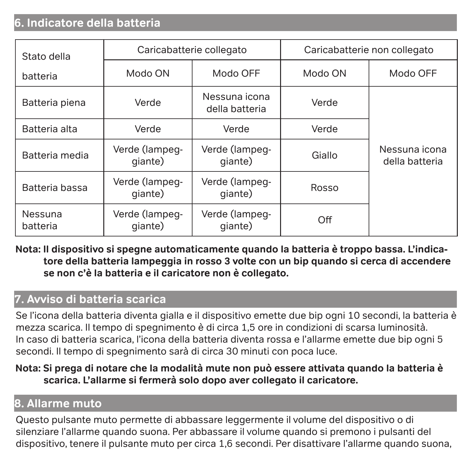#### **6. Indicatore della batteria**

| Stato della         | Caricabatterie collegato  |                                 | Caricabatterie non collegato |                                 |
|---------------------|---------------------------|---------------------------------|------------------------------|---------------------------------|
| batteria            | Modo ON                   | Modo OFF                        | Modo ON                      | Modo OFF                        |
| Batteria piena      | Verde                     | Nessuna icona<br>della batteria | Verde                        |                                 |
| Batteria alta       | Verde                     | Verde                           | Verde                        |                                 |
| Batteria media      | Verde (lampeq-<br>qiante) | Verde (lampeg-<br>qiante)       | Giallo                       | Nessuna icona<br>della batteria |
| Batteria bassa      | Verde (lampeq-<br>qiante) | Verde (lampeg-<br>qiante)       | Rosso                        |                                 |
| Nessuna<br>batteria | Verde (lampeq-<br>qiante) | Verde (lampeg-<br>qiante)       | Off                          |                                 |

**Nota: Il dispositivo si spegne automaticamente quando la batteria è troppo bassa. L'indicatore della batteria lampeggia in rosso 3 volte con un bip quando si cerca di accendere se non c'è la batteria e il caricatore non è collegato.**

#### **7. Avviso di batteria scarica**

Se l'icona della batteria diventa gialla e il dispositivo emette due bip ogni 10 secondi, la batteria è mezza scarica. Il tempo di spegnimento è di circa 1,5 ore in condizioni di scarsa luminosità. In caso di batteria scarica, l'icona della batteria diventa rossa e l'allarme emette due bip ogni 5 secondi. Il tempo di spegnimento sarà di circa 30 minuti con poca luce.

**Nota: Si prega di notare che la modalità mute non può essere attivata quando la batteria è scarica. L'allarme si fermerà solo dopo aver collegato il caricatore.**

# **8. Allarme muto**

Questo pulsante muto permette di abbassare leggermente il volume del dispositivo o di silenziare l'allarme quando suona. Per abbassare il volume quando si premono i pulsanti del dispositivo, tenere il pulsante muto per circa 1,6 secondi. Per disattivare l'allarme quando suona,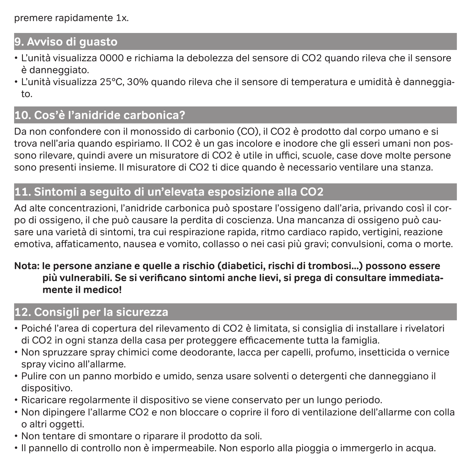premere rapidamente 1x.

### **9. Avviso di guasto**

- L'unità visualizza 0000 e richiama la debolezza del sensore di CO2 quando rileva che il sensore è danneggiato.
- L'unità visualizza 25°C, 30% quando rileva che il sensore di temperatura e umidità è danneggiato.

### **10. Cos'è l'anidride carbonica?**

Da non confondere con il monossido di carbonio (CO), il CO2 è prodotto dal corpo umano e si trova nell'aria quando espiriamo. Il CO2 è un gas incolore e inodore che gli esseri umani non possono rilevare, quindi avere un misuratore di CO2 è utile in uffici, scuole, case dove molte persone sono presenti insieme. Il misuratore di CO2 ti dice quando è necessario ventilare una stanza.

### **11. Sintomi a seguito di un'elevata esposizione alla CO2**

Ad alte concentrazioni, l'anidride carbonica può spostare l'ossigeno dall'aria, privando così il corpo di ossigeno, il che può causare la perdita di coscienza. Una mancanza di ossigeno può causare una varietà di sintomi, tra cui respirazione rapida, ritmo cardiaco rapido, vertigini, reazione emotiva, affaticamento, nausea e vomito, collasso o nei casi più gravi; convulsioni, coma o morte.

#### **Nota: le persone anziane e quelle a rischio (diabetici, rischi di trombosi...) possono essere più vulnerabili. Se si verificano sintomi anche lievi, si prega di consultare immediatamente il medico!**

## **12. Consigli per la sicurezza**

- Poiché l'area di copertura del rilevamento di CO2 è limitata, si consiglia di installare i rivelatori di CO2 in ogni stanza della casa per proteggere efficacemente tutta la famiglia.
- Non spruzzare spray chimici come deodorante, lacca per capelli, profumo, insetticida o vernice spray vicino all'allarme.
- Pulire con un panno morbido e umido, senza usare solventi o detergenti che danneggiano il dispositivo.
- Ricaricare regolarmente il dispositivo se viene conservato per un lungo periodo.
- Non dipingere l'allarme CO2 e non bloccare o coprire il foro di ventilazione dell'allarme con colla o altri oggetti.
- Non tentare di smontare o riparare il prodotto da soli.
- Il pannello di controllo non è impermeabile. Non esporlo alla pioggia o immergerlo in acqua.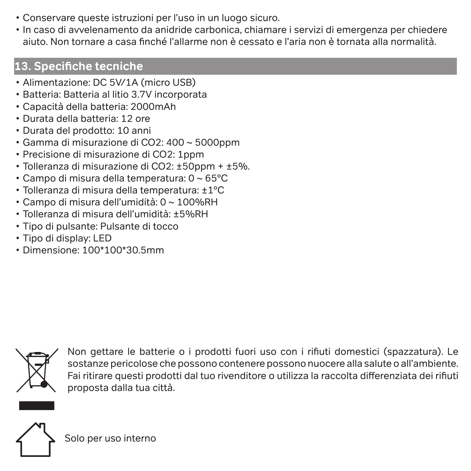- Conservare queste istruzioni per l'uso in un luogo sicuro.
- In caso di avvelenamento da anidride carbonica, chiamare i servizi di emergenza per chiedere aiuto. Non tornare a casa finché l'allarme non è cessato e l'aria non è tornata alla normalità.

# **13. Specifiche tecniche**

- Alimentazione: DC 5V/1A (micro USB)
- Batteria: Batteria al litio 3.7V incorporata
- Capacità della batteria: 2000mAh
- Durata della batteria: 12 ore
- Durata del prodotto: 10 anni
- Gamma di misurazione di CO2: 400 ~ 5000ppm
- Precisione di misurazione di CO2: 1ppm
- Tolleranza di misurazione di CO2: ±50ppm + ±5%.
- Campo di misura della temperatura: 0 ~ 65°C
- Tolleranza di misura della temperatura: ±1°C
- Campo di misura dell'umidità: 0 ~ 100%RH
- Tolleranza di misura dell'umidità: ±5%RH
- Tipo di pulsante: Pulsante di tocco
- Tipo di display: LED
- Dimensione: 100\*100\*30.5mm



Non gettare le batterie o i prodotti fuori uso con i rifiuti domestici (spazzatura). Le sostanze pericolose che possono contenere possono nuocere alla salute o all'ambiente. Fai ritirare questi prodotti dal tuo rivenditore o utilizza la raccolta differenziata dei rifiuti proposta dalla tua città.

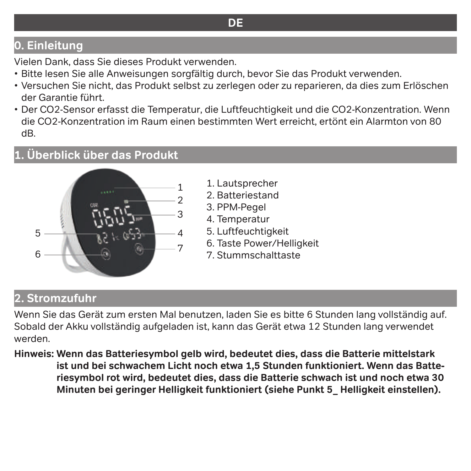# **DE**

# **0. Einleitung**

Vielen Dank, dass Sie dieses Produkt verwenden.

- Bitte lesen Sie alle Anweisungen sorgfältig durch, bevor Sie das Produkt verwenden.
- Versuchen Sie nicht, das Produkt selbst zu zerlegen oder zu reparieren, da dies zum Erlöschen der Garantie führt.
- Der CO2-Sensor erfasst die Temperatur, die Luftfeuchtigkeit und die CO2-Konzentration. Wenn die CO2-Konzentration im Raum einen bestimmten Wert erreicht, ertönt ein Alarmton von 80 dB.

# **1. Überblick über das Produkt**



- 1. Lautsprecher
- 2. Batteriestand
- 3. PPM-Pegel
- 4. Temperatur
- 5. Luftfeuchtigkeit
- 6. Taste Power/Helligkeit
- 7. Stummschalttaste

#### **2. Stromzufuhr**

Wenn Sie das Gerät zum ersten Mal benutzen, laden Sie es bitte 6 Stunden lang vollständig auf. Sobald der Akku vollständig aufgeladen ist, kann das Gerät etwa 12 Stunden lang verwendet werden.

**Hinweis: Wenn das Batteriesymbol gelb wird, bedeutet dies, dass die Batterie mittelstark ist und bei schwachem Licht noch etwa 1,5 Stunden funktioniert. Wenn das Batteriesymbol rot wird, bedeutet dies, dass die Batterie schwach ist und noch etwa 30 Minuten bei geringer Helligkeit funktioniert (siehe Punkt 5\_ Helligkeit einstellen).**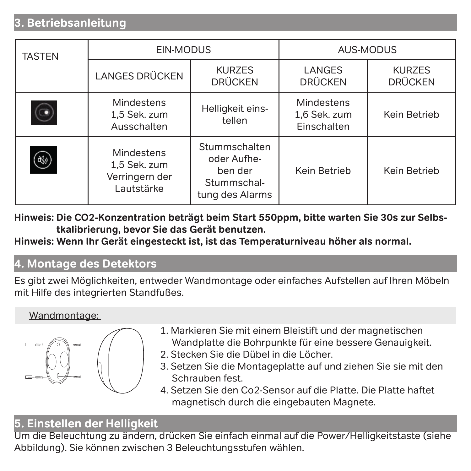# **3. Betriebsanleitung**

| <b>TASTEN</b> | EIN-MODUS                                                  |                                                                           | AUS-MODUS                                 |                                 |
|---------------|------------------------------------------------------------|---------------------------------------------------------------------------|-------------------------------------------|---------------------------------|
|               | <b>LANGES DRÜCKEN</b>                                      | <b>KURZES</b><br><b>DRÜCKEN</b>                                           | LANGES<br><b>DRÜCKEN</b>                  | <b>KURZES</b><br><b>DRÜCKEN</b> |
|               | Mindestens<br>1,5 Sek. zum<br>Ausschalten                  | Helligkeit eins-<br>tellen                                                | Mindestens<br>1,6 Sek. zum<br>Einschalten | Kein Betrieb                    |
|               | Mindestens<br>1.5 Sek. zum<br>Verringern der<br>Lautstärke | Stummschalten<br>oder Aufhe-<br>ben der<br>Stummschal-<br>tung des Alarms | Kein Betrieb                              | Kein Betrieb                    |

**Hinweis: Die CO2-Konzentration beträgt beim Start 550ppm, bitte warten Sie 30s zur Selbstkalibrierung, bevor Sie das Gerät benutzen.** 

**Hinweis: Wenn Ihr Gerät eingesteckt ist, ist das Temperaturniveau höher als normal.** 

# **4. Montage des Detektors**

Es gibt zwei Möglichkeiten, entweder Wandmontage oder einfaches Aufstellen auf Ihren Möbeln mit Hilfe des integrierten Standfußes.

#### Wandmontage:



- 1. Markieren Sie mit einem Bleistift und der magnetischen Wandplatte die Bohrpunkte für eine bessere Genauigkeit.
- 2. Stecken Sie die Dübel in die Löcher.
- 3. Setzen Sie die Montageplatte auf und ziehen Sie sie mit den Schrauben fest.
- 4. Setzen Sie den Co2-Sensor auf die Platte. Die Platte haftet magnetisch durch die eingebauten Magnete.

### **5. Einstellen der Helligkeit**

Um die Beleuchtung zu ändern, drücken Sie einfach einmal auf die Power/Helligkeitstaste (siehe Abbildung). Sie können zwischen 3 Beleuchtungsstufen wählen.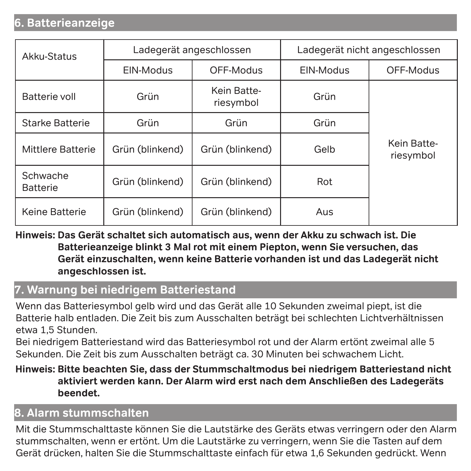### **6. Batterieanzeige**

| Akku-Status                 | Ladegerät angeschlossen |                          | Ladegerät nicht angeschlossen |                          |
|-----------------------------|-------------------------|--------------------------|-------------------------------|--------------------------|
|                             | EIN-Modus               | OFF-Modus                | EIN-Modus                     | OFF-Modus                |
| Batterie voll               | Grün                    | Kein Batte-<br>riesymbol | Grün                          |                          |
| Starke Batterie             | Grün                    | Grün                     | Grün                          |                          |
| Mittlere Batterie           | Grün (blinkend)         | Grün (blinkend)          | Gelb                          | Kein Batte-<br>riesymbol |
| Schwache<br><b>Batterie</b> | Grün (blinkend)         | Grün (blinkend)          | Rot                           |                          |
| Keine Batterie              | Grün (blinkend)         | Grün (blinkend)          | Aus                           |                          |

**Hinweis: Das Gerät schaltet sich automatisch aus, wenn der Akku zu schwach ist. Die Batterieanzeige blinkt 3 Mal rot mit einem Piepton, wenn Sie versuchen, das Gerät einzuschalten, wenn keine Batterie vorhanden ist und das Ladegerät nicht angeschlossen ist.**

#### **7. Warnung bei niedrigem Batteriestand**

Wenn das Batteriesymbol gelb wird und das Gerät alle 10 Sekunden zweimal piept, ist die Batterie halb entladen. Die Zeit bis zum Ausschalten beträgt bei schlechten Lichtverhältnissen etwa 1,5 Stunden.

Bei niedrigem Batteriestand wird das Batteriesymbol rot und der Alarm ertönt zweimal alle 5 Sekunden. Die Zeit bis zum Ausschalten beträgt ca. 30 Minuten bei schwachem Licht.

#### **Hinweis: Bitte beachten Sie, dass der Stummschaltmodus bei niedrigem Batteriestand nicht aktiviert werden kann. Der Alarm wird erst nach dem Anschließen des Ladegeräts beendet.**

#### **8. Alarm stummschalten**

Mit die Stummschalttaste können Sie die Lautstärke des Geräts etwas verringern oder den Alarm stummschalten, wenn er ertönt. Um die Lautstärke zu verringern, wenn Sie die Tasten auf dem Gerät drücken, halten Sie die Stummschalttaste einfach für etwa 1,6 Sekunden gedrückt. Wenn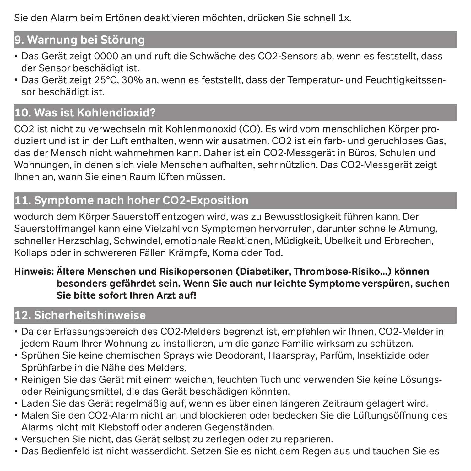Sie den Alarm beim Ertönen deaktivieren möchten, drücken Sie schnell 1x.

# **9. Warnung bei Störung**

- Das Gerät zeigt 0000 an und ruft die Schwäche des CO2-Sensors ab, wenn es feststellt, dass der Sensor beschädigt ist.
- Das Gerät zeigt 25°C, 30% an, wenn es feststellt, dass der Temperatur- und Feuchtigkeitssensor beschädigt ist.

# **10. Was ist Kohlendioxid?**

CO2 ist nicht zu verwechseln mit Kohlenmonoxid (CO). Es wird vom menschlichen Körper produziert und ist in der Luft enthalten, wenn wir ausatmen. CO2 ist ein farb- und geruchloses Gas, das der Mensch nicht wahrnehmen kann. Daher ist ein CO2-Messgerät in Büros, Schulen und Wohnungen, in denen sich viele Menschen aufhalten, sehr nützlich. Das CO2-Messgerät zeigt Ihnen an, wann Sie einen Raum lüften müssen.

# **11. Symptome nach hoher CO2-Exposition**

wodurch dem Körper Sauerstoff entzogen wird, was zu Bewusstlosigkeit führen kann. Der Sauerstoffmangel kann eine Vielzahl von Symptomen hervorrufen, darunter schnelle Atmung, schneller Herzschlag, Schwindel, emotionale Reaktionen, Müdigkeit, Übelkeit und Erbrechen, Kollaps oder in schwereren Fällen Krämpfe, Koma oder Tod.

#### **Hinweis: Ältere Menschen und Risikopersonen (Diabetiker, Thrombose-Risiko...) können besonders gefährdet sein. Wenn Sie auch nur leichte Symptome verspüren, suchen Sie bitte sofort Ihren Arzt auf!**

# **12. Sicherheitshinweise**

- Da der Erfassungsbereich des CO2-Melders begrenzt ist, empfehlen wir Ihnen, CO2-Melder in jedem Raum Ihrer Wohnung zu installieren, um die ganze Familie wirksam zu schützen.
- Sprühen Sie keine chemischen Sprays wie Deodorant, Haarspray, Parfüm, Insektizide oder Sprühfarbe in die Nähe des Melders.
- Reinigen Sie das Gerät mit einem weichen, feuchten Tuch und verwenden Sie keine Lösungsoder Reinigungsmittel, die das Gerät beschädigen könnten.
- Laden Sie das Gerät regelmäßig auf, wenn es über einen längeren Zeitraum gelagert wird.
- Malen Sie den CO2-Alarm nicht an und blockieren oder bedecken Sie die Lüftungsöffnung des Alarms nicht mit Klebstoff oder anderen Gegenständen.
- Versuchen Sie nicht, das Gerät selbst zu zerlegen oder zu reparieren.
- Das Bedienfeld ist nicht wasserdicht. Setzen Sie es nicht dem Regen aus und tauchen Sie es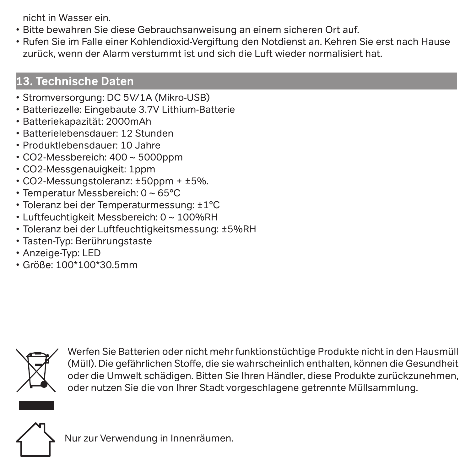nicht in Wasser ein.

- Bitte bewahren Sie diese Gebrauchsanweisung an einem sicheren Ort auf.
- Rufen Sie im Falle einer Kohlendioxid-Vergiftung den Notdienst an. Kehren Sie erst nach Hause zurück, wenn der Alarm verstummt ist und sich die Luft wieder normalisiert hat.

# **13. Technische Daten**

- Stromversorgung: DC 5V/1A (Mikro-USB)
- Batteriezelle: Eingebaute 3.7V Lithium-Batterie
- Batteriekapazität: 2000mAh
- Batterielebensdauer: 12 Stunden
- Produktlebensdauer: 10 Jahre
- CO2-Messbereich: 400 ~ 5000ppm
- CO2-Messgenauigkeit: 1ppm
- CO2-Messungstoleranz: ±50ppm + ±5%.
- Temperatur Messbereich: 0 ~ 65°C
- Toleranz bei der Temperaturmessung: ±1°C
- Luftfeuchtigkeit Messbereich: 0 ~ 100%RH
- Toleranz bei der Luftfeuchtigkeitsmessung: ±5%RH
- Tasten-Typ: Berührungstaste
- Anzeige-Typ: LED
- Größe: 100\*100\*30.5mm



Werfen Sie Batterien oder nicht mehr funktionstüchtige Produkte nicht in den Hausmüll (Müll). Die gefährlichen Stoffe, die sie wahrscheinlich enthalten, können die Gesundheit oder die Umwelt schädigen. Bitten Sie Ihren Händler, diese Produkte zurückzunehmen, oder nutzen Sie die von Ihrer Stadt vorgeschlagene getrennte Müllsammlung.



Nur zur Verwendung in Innenräumen.